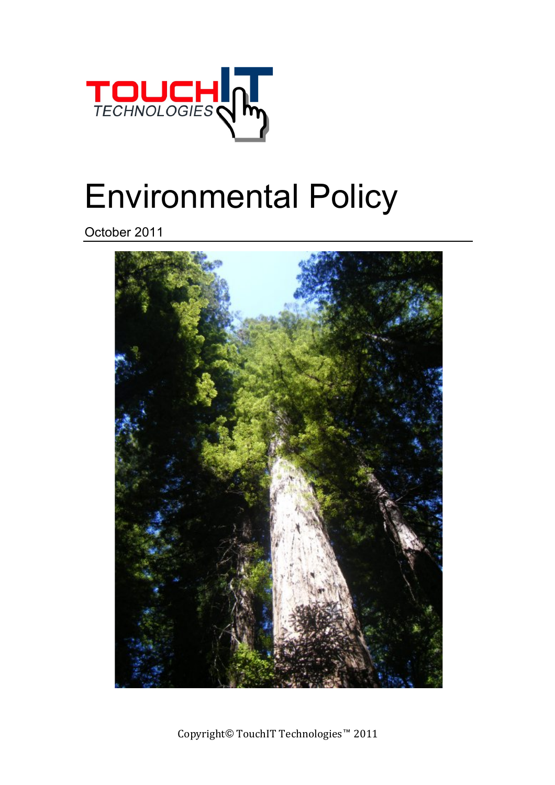

## Environmental Policy

October 2011



Copyright© TouchIT Technologies™ 2011